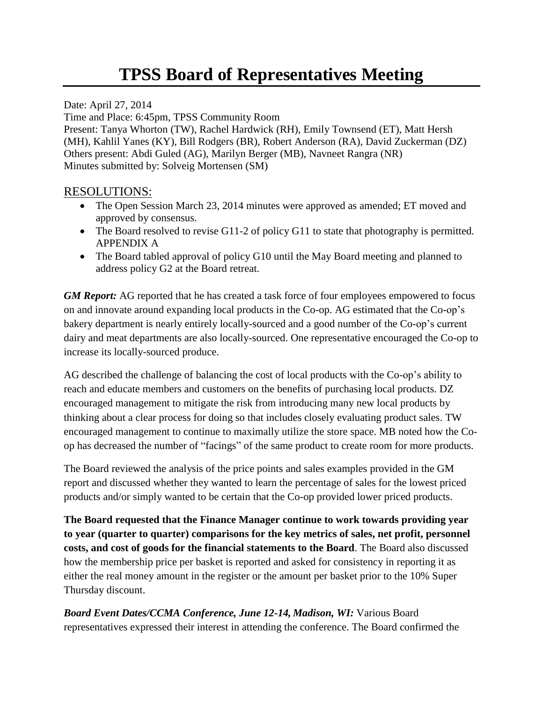## **TPSS Board of Representatives Meeting**

Date: April 27, 2014 Time and Place: 6:45pm, TPSS Community Room Present: Tanya Whorton (TW), Rachel Hardwick (RH), Emily Townsend (ET), Matt Hersh (MH), Kahlil Yanes (KY), Bill Rodgers (BR), Robert Anderson (RA), David Zuckerman (DZ) Others present: Abdi Guled (AG), Marilyn Berger (MB), Navneet Rangra (NR) Minutes submitted by: Solveig Mortensen (SM)

## RESOLUTIONS:

- The Open Session March 23, 2014 minutes were approved as amended; ET moved and approved by consensus.
- The Board resolved to revise G11-2 of policy G11 to state that photography is permitted. APPENDIX A
- The Board tabled approval of policy G10 until the May Board meeting and planned to address policy G2 at the Board retreat.

*GM Report:* AG reported that he has created a task force of four employees empowered to focus on and innovate around expanding local products in the Co-op. AG estimated that the Co-op's bakery department is nearly entirely locally-sourced and a good number of the Co-op's current dairy and meat departments are also locally-sourced. One representative encouraged the Co-op to increase its locally-sourced produce.

AG described the challenge of balancing the cost of local products with the Co-op's ability to reach and educate members and customers on the benefits of purchasing local products. DZ encouraged management to mitigate the risk from introducing many new local products by thinking about a clear process for doing so that includes closely evaluating product sales. TW encouraged management to continue to maximally utilize the store space. MB noted how the Coop has decreased the number of "facings" of the same product to create room for more products.

The Board reviewed the analysis of the price points and sales examples provided in the GM report and discussed whether they wanted to learn the percentage of sales for the lowest priced products and/or simply wanted to be certain that the Co-op provided lower priced products.

**The Board requested that the Finance Manager continue to work towards providing year to year (quarter to quarter) comparisons for the key metrics of sales, net profit, personnel costs, and cost of goods for the financial statements to the Board**. The Board also discussed how the membership price per basket is reported and asked for consistency in reporting it as either the real money amount in the register or the amount per basket prior to the 10% Super Thursday discount.

*Board Event Dates/CCMA Conference, June 12-14, Madison, WI:* Various Board representatives expressed their interest in attending the conference. The Board confirmed the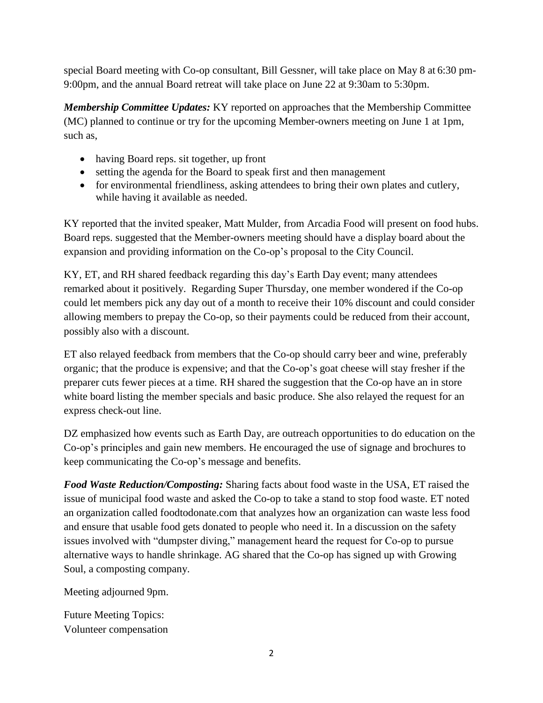special Board meeting with Co-op consultant, Bill Gessner, will take place on May 8 at 6:30 pm-9:00pm, and the annual Board retreat will take place on June 22 at 9:30am to 5:30pm.

*Membership Committee Updates:* KY reported on approaches that the Membership Committee (MC) planned to continue or try for the upcoming Member-owners meeting on June 1 at 1pm, such as,

- having Board reps. sit together, up front
- setting the agenda for the Board to speak first and then management
- for environmental friendliness, asking attendees to bring their own plates and cutlery, while having it available as needed.

KY reported that the invited speaker, Matt Mulder, from Arcadia Food will present on food hubs. Board reps. suggested that the Member-owners meeting should have a display board about the expansion and providing information on the Co-op's proposal to the City Council.

KY, ET, and RH shared feedback regarding this day's Earth Day event; many attendees remarked about it positively. Regarding Super Thursday, one member wondered if the Co-op could let members pick any day out of a month to receive their 10% discount and could consider allowing members to prepay the Co-op, so their payments could be reduced from their account, possibly also with a discount.

ET also relayed feedback from members that the Co-op should carry beer and wine, preferably organic; that the produce is expensive; and that the Co-op's goat cheese will stay fresher if the preparer cuts fewer pieces at a time. RH shared the suggestion that the Co-op have an in store white board listing the member specials and basic produce. She also relayed the request for an express check-out line.

DZ emphasized how events such as Earth Day, are outreach opportunities to do education on the Co-op's principles and gain new members. He encouraged the use of signage and brochures to keep communicating the Co-op's message and benefits.

*Food Waste Reduction/Composting:* Sharing facts about food waste in the USA, ET raised the issue of municipal food waste and asked the Co-op to take a stand to stop food waste. ET noted an organization called foodtodonate.com that analyzes how an organization can waste less food and ensure that usable food gets donated to people who need it. In a discussion on the safety issues involved with "dumpster diving," management heard the request for Co-op to pursue alternative ways to handle shrinkage. AG shared that the Co-op has signed up with Growing Soul, a composting company.

Meeting adjourned 9pm.

Future Meeting Topics: Volunteer compensation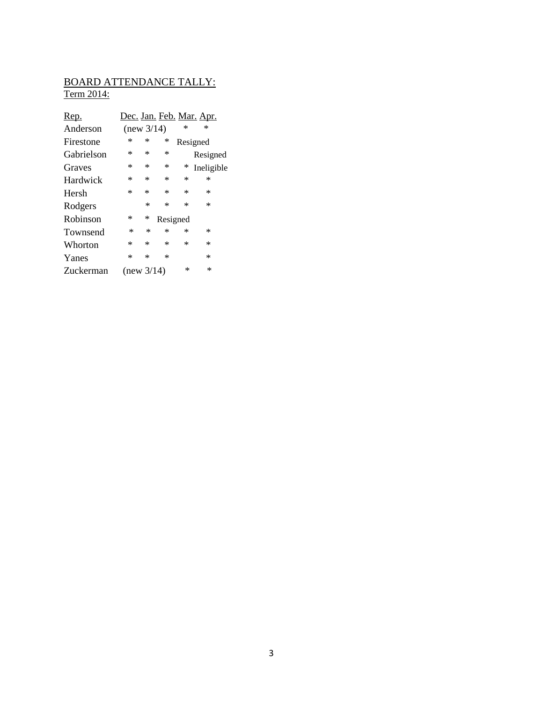## BOARD ATTENDANCE TALLY: Term 2014:

| Rep.       |            |        |          |   | <u>Dec. Jan. Feb. Mar. Apr.</u> |
|------------|------------|--------|----------|---|---------------------------------|
| Anderson   | (new 3/14) |        |          | ∗ | ∗                               |
| Firestone  | ∗          | ∗      | ∗        |   | Resigned                        |
| Gabrielson | ∗          | ∗      | $\ast$   |   | Resigned                        |
| Graves     | *          | ∗      | $\ast$   | ∗ | Ineligible                      |
| Hardwick   | *          | *      | $\ast$   | ∗ | ∗                               |
| Hersh      | $\ast$     | $\ast$ | $\ast$   | * | ∗                               |
| Rodgers    |            | $\ast$ | $\ast$   | ∗ | ∗                               |
| Robinson   | ∗          | ∗      | Resigned |   |                                 |
| Townsend   | $\ast$     | ∗      | $\ast$   | ∗ | ∗                               |
| Whorton    | *          | ∗      | $\ast$   | ∗ | ∗                               |
| Yanes      | *          | ∗      | $\ast$   |   | *                               |
| Zuckerman  | (new 3/14) |        |          | ∗ | ∗                               |